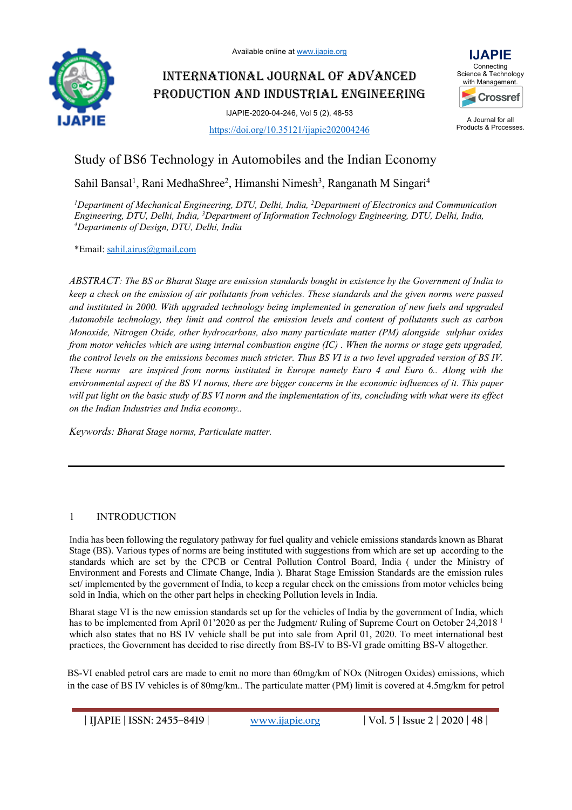

# INTERNATIONAL JOURNAL OF ADVANCED PRODUCTION AND INDUSTRIAL ENGINEERING

IJAPIE-2020-04-246, Vol 5 (2), 48-53

https://doi.org/10.35121/ijapie202004246



A Journal for all Products & Processes.

## Study of BS6 Technology in Automobiles and the Indian Economy

Sahil Bansal<sup>1</sup>, Rani MedhaShree<sup>2</sup>, Himanshi Nimesh<sup>3</sup>, Ranganath M Singari<sup>4</sup>

<sup>1</sup>Department of Mechanical Engineering, DTU, Delhi, India, <sup>2</sup>Department of Electronics and Communication *Engineering, DTU, Delhi, India, 3 Department of Information Technology Engineering, DTU, Delhi, India, 4 Departments of Design, DTU, Delhi, India*

\*Email: sahil.airus@gmail.com

*ABSTRACT: The BS or Bharat Stage are emission standards bought in existence by the Government of India to keep a check on the emission of air pollutants from vehicles. These standards and the given norms were passed and instituted in 2000. With upgraded technology being implemented in generation of new fuels and upgraded Automobile technology, they limit and control the emission levels and content of pollutants such as carbon Monoxide, Nitrogen Oxide, other hydrocarbons, also many particulate matter (PM) alongside sulphur oxides from motor vehicles which are using internal combustion engine (IC) . When the norms or stage gets upgraded, the control levels on the emissions becomes much stricter. Thus BS VI is a two level upgraded version of BS IV. These norms are inspired from norms instituted in Europe namely Euro 4 and Euro 6.. Along with the environmental aspect of the BS VI norms, there are bigger concerns in the economic influences of it. This paper will put light on the basic study of BS VI norm and the implementation of its, concluding with what were its effect on the Indian Industries and India economy..*

*Keywords: Bharat Stage norms, Particulate matter.*

## 1 INTRODUCTION

India has been following the regulatory pathway for fuel quality and vehicle emissions standards known as Bharat Stage (BS). Various types of norms are being instituted with suggestions from which are set up according to the standards which are set by the CPCB or Central Pollution Control Board, India ( under the Ministry of Environment and Forests and Climate Change, India ). Bharat Stage Emission Standards are the emission rules set/ implemented by the government of India, to keep a regular check on the emissions from motor vehicles being sold in India, which on the other part helps in checking Pollution levels in India.

Bharat stage VI is the new emission standards set up for the vehicles of India by the government of India, which has to be implemented from April 01'2020 as per the Judgment/ Ruling of Supreme Court on October 24,2018<sup>1</sup> which also states that no BS IV vehicle shall be put into sale from April 01, 2020. To meet international best practices, the Government has decided to rise directly from BS-IV to BS-VI grade omitting BS-V altogether.

BS-VI enabled petrol cars are made to emit no more than 60mg/km of NOx (Nitrogen Oxides) emissions, which in the case of BS IV vehicles is of 80mg/km.. The particulate matter (PM) limit is covered at 4.5mg/km for petrol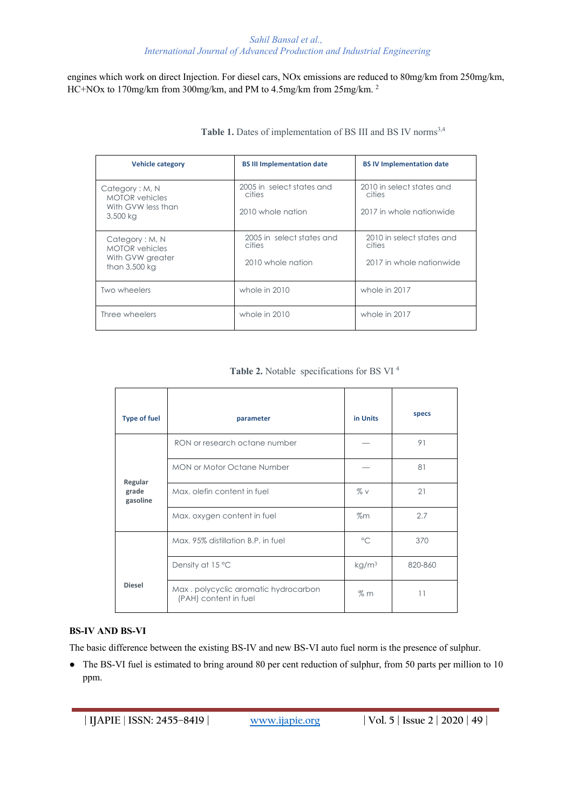engines which work on direct Injection. For diesel cars, NOx emissions are reduced to 80mg/km from 250mg/km, HC+NOx to 170mg/km from 300mg/km, and PM to 4.5mg/km from 25mg/km. 2

| <b>Vehicle category</b>                                                      | <b>BS III Implementation date</b>                        | <b>BSIV Implementation date</b>                                 |  |
|------------------------------------------------------------------------------|----------------------------------------------------------|-----------------------------------------------------------------|--|
| Category: M, N<br><b>MOTOR</b> vehicles<br>With GVW less than<br>3,500 kg    | 2005 in select states and<br>cities<br>2010 whole nation | 2010 in select states and<br>cities<br>2017 in whole nationwide |  |
| Category: M, N<br><b>MOTOR</b> vehicles<br>With GVW greater<br>than 3,500 kg | 2005 in select states and<br>cities<br>2010 whole nation | 2010 in select states and<br>cities<br>2017 in whole nationwide |  |
| Two wheelers                                                                 | whole in 2010                                            | whole in 2017                                                   |  |
| Three wheelers                                                               | whole in 2010                                            | whole in 2017                                                   |  |

Table 1. Dates of implementation of BS III and BS IV norms<sup>3,4</sup>

**Table 2.** Notable specifications for BS VI 4

| <b>Type of fuel</b>          | parameter                                                    | in Units          | specs   |
|------------------------------|--------------------------------------------------------------|-------------------|---------|
|                              | RON or research octane number                                |                   | 91      |
| Regular<br>grade<br>gasoline | <b>MON or Motor Octane Number</b>                            |                   | 81      |
|                              | Max, olefin content in fuel                                  | $\%$ V            | 21      |
|                              | Max. oxygen content in fuel                                  | $\%m$             | 2.7     |
|                              | Max, 95% distillation B.P. in fuel                           | $\circ$           | 370     |
|                              | Density at 15 °C                                             | kg/m <sup>3</sup> | 820-860 |
| <b>Diesel</b>                | Max.polycyclic aromatic hydrocarbon<br>(PAH) content in fuel | $\%$ m            | 11      |

#### **BS-IV AND BS-VI**

The basic difference between the existing BS-IV and new BS-VI auto fuel norm is the presence of sulphur.

● The BS-VI fuel is estimated to bring around 80 per cent reduction of sulphur, from 50 parts per million to 10 ppm.

**| IJAPIE** | **ISSN: 2455–8419 | www.ijapie.org | Vol. 5 | Issue 2 | 2020 | 49 |**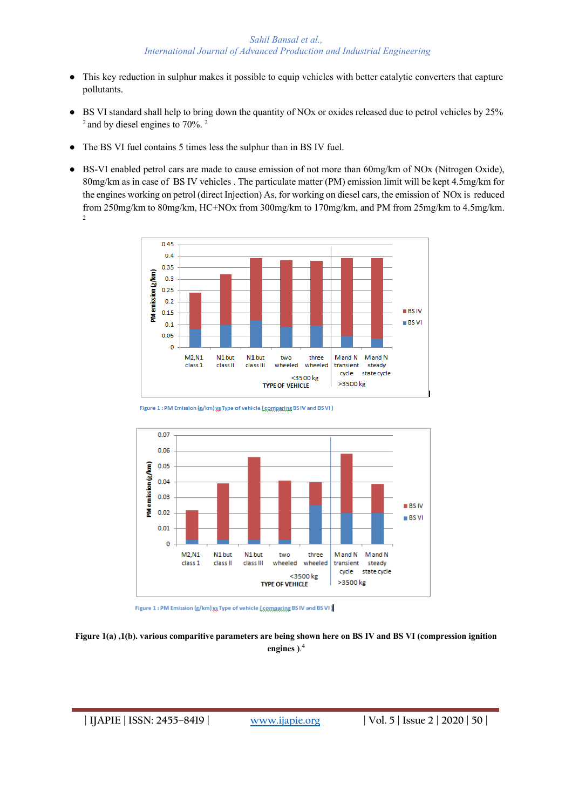- This key reduction in sulphur makes it possible to equip vehicles with better catalytic converters that capture pollutants.
- BS VI standard shall help to bring down the quantity of NOx or oxides released due to petrol vehicles by 25%  $2$  and by diesel engines to 70%.  $2$
- The BS VI fuel contains 5 times less the sulphur than in BS IV fuel.
- BS-VI enabled petrol cars are made to cause emission of not more than 60mg/km of NOx (Nitrogen Oxide), 80mg/km as in case of BS IV vehicles . The particulate matter (PM) emission limit will be kept 4.5mg/km for the engines working on petrol (direct Injection) As, for working on diesel cars, the emission of NOx is reduced from 250mg/km to 80mg/km, HC+NOx from 300mg/km to 170mg/km, and PM from 25mg/km to 4.5mg/km. 2



Figure 1 : PM Emission (g/km) xx Type of vehicle (comparing BS IV and BS VI)





## **Figure 1(a) ,1(b). various comparitive parameters are being shown here on BS IV and BS VI (compression ignition engines )**. 4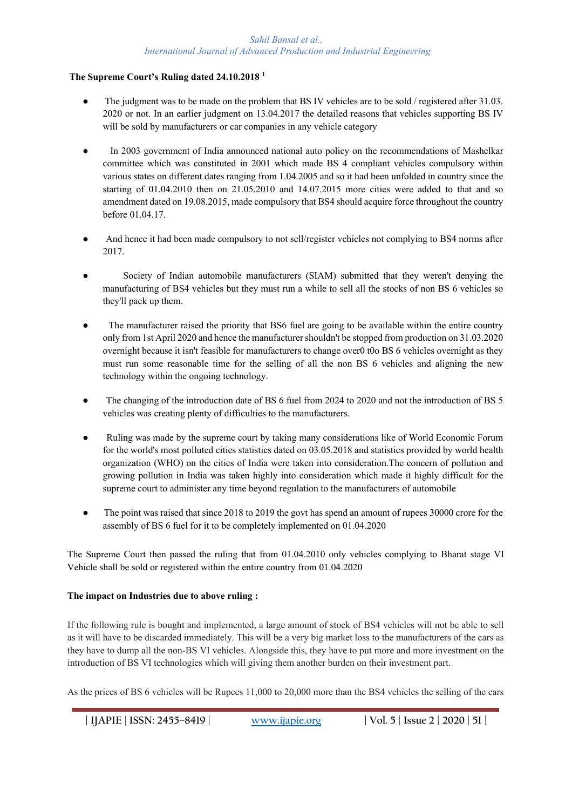## **The Supreme Court's Ruling dated 24.10.2018 1**

- The judgment was to be made on the problem that BS IV vehicles are to be sold / registered after 31.03. 2020 or not. In an earlier judgment on 13.04.2017 the detailed reasons that vehicles supporting BS IV will be sold by manufacturers or car companies in any vehicle category
- In 2003 government of India announced national auto policy on the recommendations of Mashelkar committee which was constituted in 2001 which made BS 4 compliant vehicles compulsory within various states on different dates ranging from 1.04.2005 and so it had been unfolded in country since the starting of 01.04.2010 then on 21.05.2010 and 14.07.2015 more cities were added to that and so amendment dated on 19.08.2015, made compulsory that BS4 should acquire force throughout the country before 01.04.17.
- And hence it had been made compulsory to not sell/register vehicles not complying to BS4 norms after 2017.
- Society of Indian automobile manufacturers (SIAM) submitted that they weren't denying the manufacturing of BS4 vehicles but they must run a while to sell all the stocks of non BS 6 vehicles so they'll pack up them.
- The manufacturer raised the priority that BS6 fuel are going to be available within the entire country only from 1st April 2020 and hence the manufacturer shouldn't be stopped from production on 31.03.2020 overnight because it isn't feasible for manufacturers to change over0 t0o BS 6 vehicles overnight as they must run some reasonable time for the selling of all the non BS 6 vehicles and aligning the new technology within the ongoing technology.
- The changing of the introduction date of BS 6 fuel from 2024 to 2020 and not the introduction of BS 5 vehicles was creating plenty of difficulties to the manufacturers.
- Ruling was made by the supreme court by taking many considerations like of World Economic Forum for the world's most polluted cities statistics dated on 03.05.2018 and statistics provided by world health organization (WHO) on the cities of India were taken into consideration.The concern of pollution and growing pollution in India was taken highly into consideration which made it highly difficult for the supreme court to administer any time beyond regulation to the manufacturers of automobile
- The point was raised that since 2018 to 2019 the govt has spend an amount of rupees 30000 crore for the assembly of BS 6 fuel for it to be completely implemented on 01.04.2020

The Supreme Court then passed the ruling that from 01.04.2010 only vehicles complying to Bharat stage VI Vehicle shall be sold or registered within the entire country from 01.04.2020

## **The impact on Industries due to above ruling :**

If the following rule is bought and implemented, a large amount of stock of BS4 vehicles will not be able to sell as it will have to be discarded immediately. This will be a very big market loss to the manufacturers of the cars as they have to dump all the non-BS VI vehicles. Alongside this, they have to put more and more investment on the introduction of BS VI technologies which will giving them another burden on their investment part.

As the prices of BS 6 vehicles will be Rupees 11,000 to 20,000 more than the BS4 vehicles the selling of the cars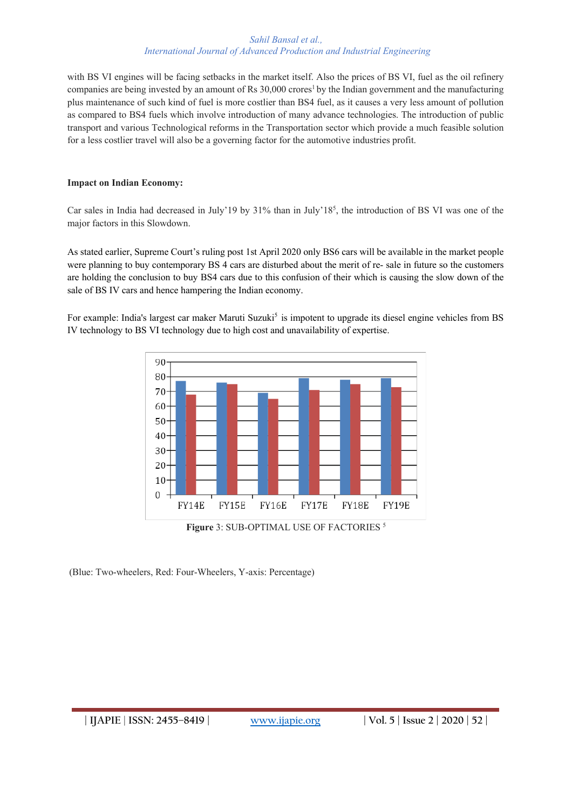with BS VI engines will be facing setbacks in the market itself. Also the prices of BS VI, fuel as the oil refinery companies are being invested by an amount of Rs 30,000 crores<sup>1</sup> by the Indian government and the manufacturing plus maintenance of such kind of fuel is more costlier than BS4 fuel, as it causes a very less amount of pollution as compared to BS4 fuels which involve introduction of many advance technologies. The introduction of public transport and various Technological reforms in the Transportation sector which provide a much feasible solution for a less costlier travel will also be a governing factor for the automotive industries profit.

## **Impact on Indian Economy:**

Car sales in India had decreased in July'19 by 31% than in July'18<sup>5</sup>, the introduction of BS VI was one of the major factors in this Slowdown.

As stated earlier, Supreme Court's ruling post 1st April 2020 only BS6 cars will be available in the market people were planning to buy contemporary BS 4 cars are disturbed about the merit of re- sale in future so the customers are holding the conclusion to buy BS4 cars due to this confusion of their which is causing the slow down of the sale of BS IV cars and hence hampering the Indian economy.

For example: India's largest car maker Maruti Suzuki<sup>5</sup> is impotent to upgrade its diesel engine vehicles from BS IV technology to BS VI technology due to high cost and unavailability of expertise.



**Figure** 3: SUB-OPTIMAL USE OF FACTORIES 5

(Blue: Two-wheelers, Red: Four-Wheelers, Y-axis: Percentage)